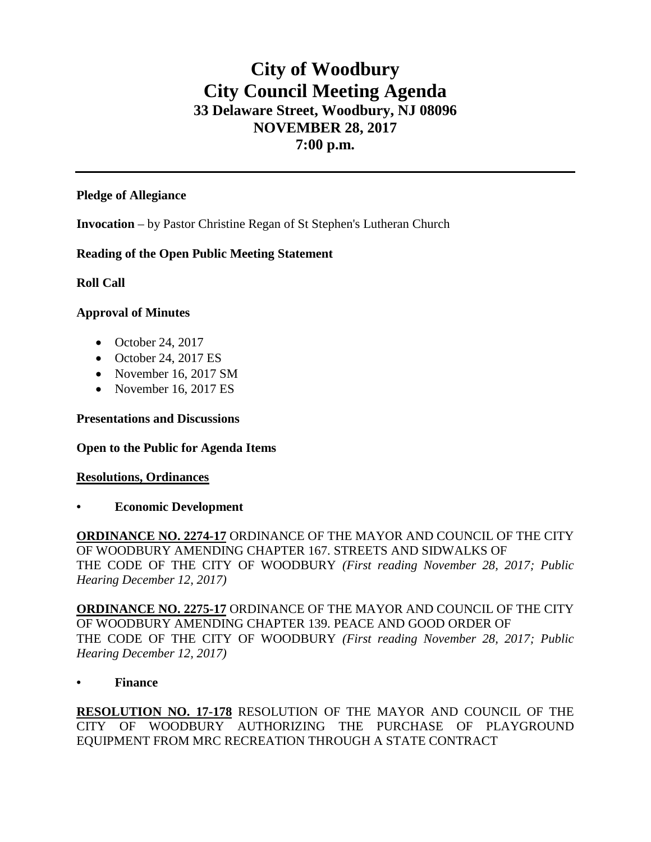# **City of Woodbury City Council Meeting Agenda 33 Delaware Street, Woodbury, NJ 08096 NOVEMBER 28, 2017 7:00 p.m.**

#### **Pledge of Allegiance**

**Invocation** – by Pastor Christine Regan of St Stephen's Lutheran Church

### **Reading of the Open Public Meeting Statement**

### **Roll Call**

### **Approval of Minutes**

- October 24, 2017
- October 24, 2017 ES
- November 16, 2017 SM
- November 16, 2017 ES

## **Presentations and Discussions**

#### **Open to the Public for Agenda Items**

# **Resolutions, Ordinances**

**• Economic Development**

**ORDINANCE NO. 2274-17** ORDINANCE OF THE MAYOR AND COUNCIL OF THE CITY OF WOODBURY AMENDING CHAPTER 167. STREETS AND SIDWALKS OF THE CODE OF THE CITY OF WOODBURY *(First reading November 28, 2017; Public Hearing December 12, 2017)*

**ORDINANCE NO. 2275-17** ORDINANCE OF THE MAYOR AND COUNCIL OF THE CITY OF WOODBURY AMENDING CHAPTER 139. PEACE AND GOOD ORDER OF THE CODE OF THE CITY OF WOODBURY *(First reading November 28, 2017; Public Hearing December 12, 2017)*

**• Finance** 

**RESOLUTION NO. 17-178** RESOLUTION OF THE MAYOR AND COUNCIL OF THE CITY OF WOODBURY AUTHORIZING THE PURCHASE OF PLAYGROUND EQUIPMENT FROM MRC RECREATION THROUGH A STATE CONTRACT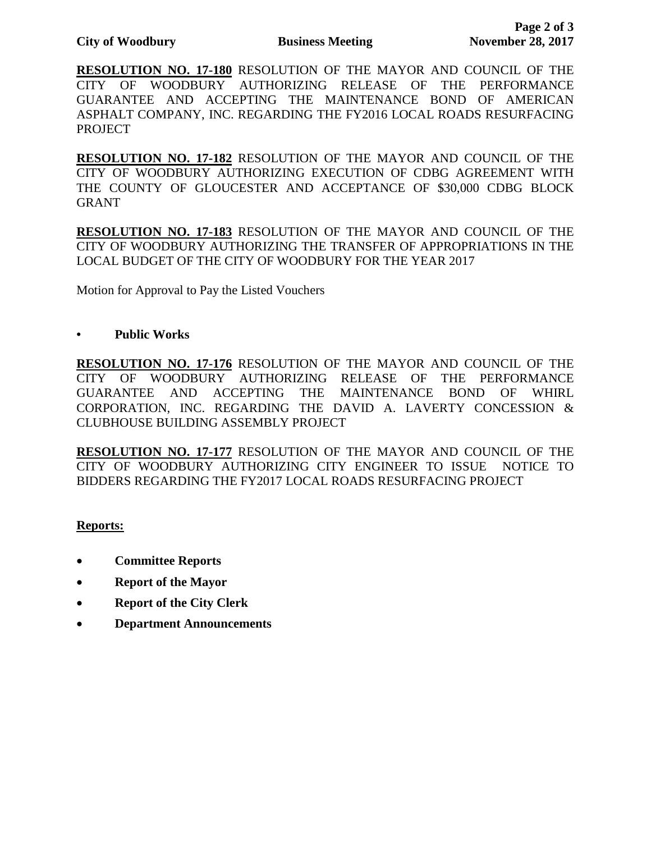**RESOLUTION NO. 17-180** RESOLUTION OF THE MAYOR AND COUNCIL OF THE CITY OF WOODBURY AUTHORIZING RELEASE OF THE PERFORMANCE GUARANTEE AND ACCEPTING THE MAINTENANCE BOND OF AMERICAN ASPHALT COMPANY, INC. REGARDING THE FY2016 LOCAL ROADS RESURFACING PROJECT

**RESOLUTION NO. 17-182** RESOLUTION OF THE MAYOR AND COUNCIL OF THE CITY OF WOODBURY AUTHORIZING EXECUTION OF CDBG AGREEMENT WITH THE COUNTY OF GLOUCESTER AND ACCEPTANCE OF \$30,000 CDBG BLOCK GRANT

**RESOLUTION NO. 17-183** RESOLUTION OF THE MAYOR AND COUNCIL OF THE CITY OF WOODBURY AUTHORIZING THE TRANSFER OF APPROPRIATIONS IN THE LOCAL BUDGET OF THE CITY OF WOODBURY FOR THE YEAR 2017

Motion for Approval to Pay the Listed Vouchers

### **• Public Works**

**RESOLUTION NO. 17-176** RESOLUTION OF THE MAYOR AND COUNCIL OF THE CITY OF WOODBURY AUTHORIZING RELEASE OF THE PERFORMANCE GUARANTEE AND ACCEPTING THE MAINTENANCE BOND OF WHIRL CORPORATION, INC. REGARDING THE DAVID A. LAVERTY CONCESSION & CLUBHOUSE BUILDING ASSEMBLY PROJECT

**RESOLUTION NO. 17-177** RESOLUTION OF THE MAYOR AND COUNCIL OF THE CITY OF WOODBURY AUTHORIZING CITY ENGINEER TO ISSUE NOTICE TO BIDDERS REGARDING THE FY2017 LOCAL ROADS RESURFACING PROJECT

# **Reports:**

- **Committee Reports**
- **Report of the Mayor**
- **Report of the City Clerk**
- **Department Announcements**